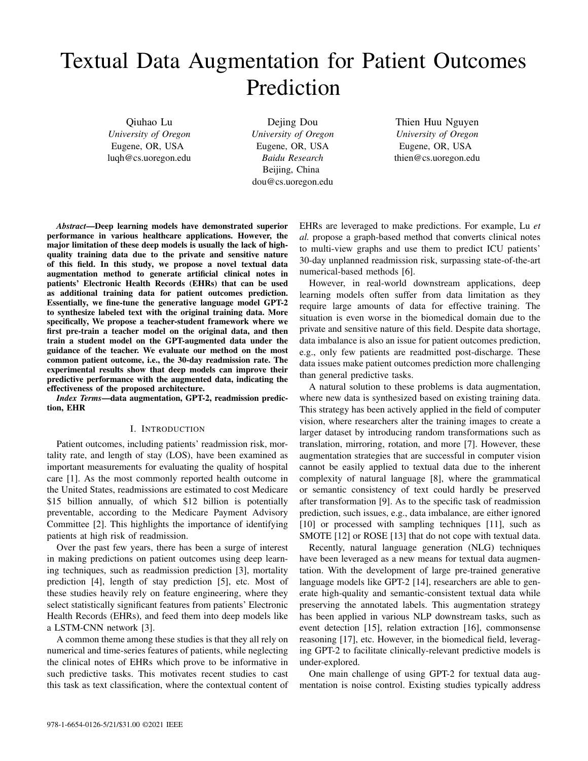# Textual Data Augmentation for Patient Outcomes Prediction

Qiuhao Lu *University of Oregon* Eugene, OR, USA luqh@cs.uoregon.edu

Dejing Dou *University of Oregon* Eugene, OR, USA *Baidu Research* Beijing, China dou@cs.uoregon.edu

Thien Huu Nguyen *University of Oregon* Eugene, OR, USA thien@cs.uoregon.edu

*Abstract*—Deep learning models have demonstrated superior performance in various healthcare applications. However, the major limitation of these deep models is usually the lack of highquality training data due to the private and sensitive nature of this field. In this study, we propose a novel textual data augmentation method to generate artificial clinical notes in patients' Electronic Health Records (EHRs) that can be used as additional training data for patient outcomes prediction. Essentially, we fine-tune the generative language model GPT-2 to synthesize labeled text with the original training data. More specifically, We propose a teacher-student framework where we first pre-train a teacher model on the original data, and then train a student model on the GPT-augmented data under the guidance of the teacher. We evaluate our method on the most common patient outcome, i.e., the 30-day readmission rate. The experimental results show that deep models can improve their predictive performance with the augmented data, indicating the effectiveness of the proposed architecture.

*Index Terms*—data augmentation, GPT-2, readmission prediction, EHR

# I. INTRODUCTION

Patient outcomes, including patients' readmission risk, mortality rate, and length of stay (LOS), have been examined as important measurements for evaluating the quality of hospital care [1]. As the most commonly reported health outcome in the United States, readmissions are estimated to cost Medicare \$15 billion annually, of which \$12 billion is potentially preventable, according to the Medicare Payment Advisory Committee [2]. This highlights the importance of identifying patients at high risk of readmission.

Over the past few years, there has been a surge of interest in making predictions on patient outcomes using deep learning techniques, such as readmission prediction [3], mortality prediction [4], length of stay prediction [5], etc. Most of these studies heavily rely on feature engineering, where they select statistically significant features from patients' Electronic Health Records (EHRs), and feed them into deep models like a LSTM-CNN network [3].

A common theme among these studies is that they all rely on numerical and time-series features of patients, while neglecting the clinical notes of EHRs which prove to be informative in such predictive tasks. This motivates recent studies to cast this task as text classification, where the contextual content of EHRs are leveraged to make predictions. For example, Lu *et al.* propose a graph-based method that converts clinical notes to multi-view graphs and use them to predict ICU patients' 30-day unplanned readmission risk, surpassing state-of-the-art numerical-based methods [6].

However, in real-world downstream applications, deep learning models often suffer from data limitation as they require large amounts of data for effective training. The situation is even worse in the biomedical domain due to the private and sensitive nature of this field. Despite data shortage, data imbalance is also an issue for patient outcomes prediction, e.g., only few patients are readmitted post-discharge. These data issues make patient outcomes prediction more challenging than general predictive tasks.

A natural solution to these problems is data augmentation, where new data is synthesized based on existing training data. This strategy has been actively applied in the field of computer vision, where researchers alter the training images to create a larger dataset by introducing random transformations such as translation, mirroring, rotation, and more [7]. However, these augmentation strategies that are successful in computer vision cannot be easily applied to textual data due to the inherent complexity of natural language [8], where the grammatical or semantic consistency of text could hardly be preserved after transformation [9]. As to the specific task of readmission prediction, such issues, e.g., data imbalance, are either ignored [10] or processed with sampling techniques [11], such as SMOTE [12] or ROSE [13] that do not cope with textual data.

Recently, natural language generation (NLG) techniques have been leveraged as a new means for textual data augmentation. With the development of large pre-trained generative language models like GPT-2 [14], researchers are able to generate high-quality and semantic-consistent textual data while preserving the annotated labels. This augmentation strategy has been applied in various NLP downstream tasks, such as event detection [15], relation extraction [16], commonsense reasoning [17], etc. However, in the biomedical field, leveraging GPT-2 to facilitate clinically-relevant predictive models is under-explored.

One main challenge of using GPT-2 for textual data augmentation is noise control. Existing studies typically address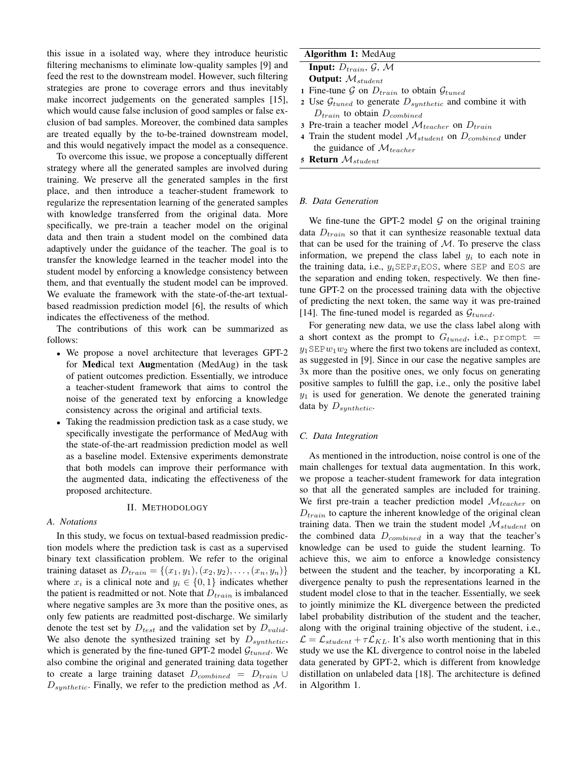this issue in a isolated way, where they introduce heuristic filtering mechanisms to eliminate low-quality samples [9] and feed the rest to the downstream model. However, such filtering strategies are prone to coverage errors and thus inevitably make incorrect judgements on the generated samples [15], which would cause false inclusion of good samples or false exclusion of bad samples. Moreover, the combined data samples are treated equally by the to-be-trained downstream model, and this would negatively impact the model as a consequence.

To overcome this issue, we propose a conceptually different strategy where all the generated samples are involved during training. We preserve all the generated samples in the first place, and then introduce a teacher-student framework to regularize the representation learning of the generated samples with knowledge transferred from the original data. More specifically, we pre-train a teacher model on the original data and then train a student model on the combined data adaptively under the guidance of the teacher. The goal is to transfer the knowledge learned in the teacher model into the student model by enforcing a knowledge consistency between them, and that eventually the student model can be improved. We evaluate the framework with the state-of-the-art textualbased readmission prediction model [6], the results of which indicates the effectiveness of the method.

The contributions of this work can be summarized as follows:

- We propose a novel architecture that leverages GPT-2 for **Medical text Augmentation** (MedAug) in the task of patient outcomes prediction. Essentially, we introduce a teacher-student framework that aims to control the noise of the generated text by enforcing a knowledge consistency across the original and artificial texts.
- Taking the readmission prediction task as a case study, we specifically investigate the performance of MedAug with the state-of-the-art readmission prediction model as well as a baseline model. Extensive experiments demonstrate that both models can improve their performance with the augmented data, indicating the effectiveness of the proposed architecture.

# II. METHODOLOGY

#### *A. Notations*

In this study, we focus on textual-based readmission prediction models where the prediction task is cast as a supervised binary text classification problem. We refer to the original training dataset as  $D_{train} = \{(x_1, y_1), (x_2, y_2), \dots, (x_n, y_n)\}\$ where  $x_i$  is a clinical note and  $y_i \in \{0, 1\}$  indicates whether the patient is readmitted or not. Note that  $D_{train}$  is imbalanced where negative samples are 3x more than the positive ones, as only few patients are readmitted post-discharge. We similarly denote the test set by  $D_{test}$  and the validation set by  $D_{valid}$ . We also denote the synthesized training set by  $D_{synthetic}$ , which is generated by the fine-tuned GPT-2 model  $\mathcal{G}_{tuned}$ . We also combine the original and generated training data together to create a large training dataset  $D_{combined} = D_{train} \cup$  $D_{synthetic}$ . Finally, we refer to the prediction method as M.

# Algorithm 1: MedAug

Input:  $D_{train}$ ,  $\mathcal{G}$ ,  $\mathcal{M}$ 

**Output:**  $M_{student}$ 

- 1 Fine-tune G on  $D_{train}$  to obtain  $\mathcal{G}_{tuned}$
- 2 Use  $\mathcal{G}_{tuned}$  to generate  $D_{synthetic}$  and combine it with  $D_{train}$  to obtain  $D_{combined}$
- 3 Pre-train a teacher model  $\mathcal{M}_{teacher}$  on  $D_{train}$
- 4 Train the student model  $M_{student}$  on  $D_{combined}$  under the guidance of  $\mathcal{M}_{teacher}$
- 5 Return  $M_{student}$

#### *B. Data Generation*

We fine-tune the GPT-2 model  $G$  on the original training data  $D_{train}$  so that it can synthesize reasonable textual data that can be used for the training of  $M$ . To preserve the class information, we prepend the class label  $y_i$  to each note in the training data, i.e.,  $y_i$ SEP $x_i$ EOS, where SEP and EOS are the separation and ending token, respectively. We then finetune GPT-2 on the processed training data with the objective of predicting the next token, the same way it was pre-trained [14]. The fine-tuned model is regarded as  $\mathcal{G}_{tuned}$ .

For generating new data, we use the class label along with a short context as the prompt to  $G_{tuned}$ , i.e., prompt =  $y_1$ SEP $w_1w_2$  where the first two tokens are included as context, as suggested in [9]. Since in our case the negative samples are 3x more than the positive ones, we only focus on generating positive samples to fulfill the gap, i.e., only the positive label  $y_1$  is used for generation. We denote the generated training data by  $D_{synthetic}$ .

#### *C. Data Integration*

As mentioned in the introduction, noise control is one of the main challenges for textual data augmentation. In this work, we propose a teacher-student framework for data integration so that all the generated samples are included for training. We first pre-train a teacher prediction model  $\mathcal{M}_{teacher}$  on  $D_{train}$  to capture the inherent knowledge of the original clean training data. Then we train the student model  $\mathcal{M}_{student}$  on the combined data  $D_{combined}$  in a way that the teacher's knowledge can be used to guide the student learning. To achieve this, we aim to enforce a knowledge consistency between the student and the teacher, by incorporating a KL divergence penalty to push the representations learned in the student model close to that in the teacher. Essentially, we seek to jointly minimize the KL divergence between the predicted label probability distribution of the student and the teacher, along with the original training objective of the student, i.e.,  $\mathcal{L} = \mathcal{L}_{student} + \tau \mathcal{L}_{KL}$ . It's also worth mentioning that in this study we use the KL divergence to control noise in the labeled data generated by GPT-2, which is different from knowledge distillation on unlabeled data [18]. The architecture is defined in Algorithm 1.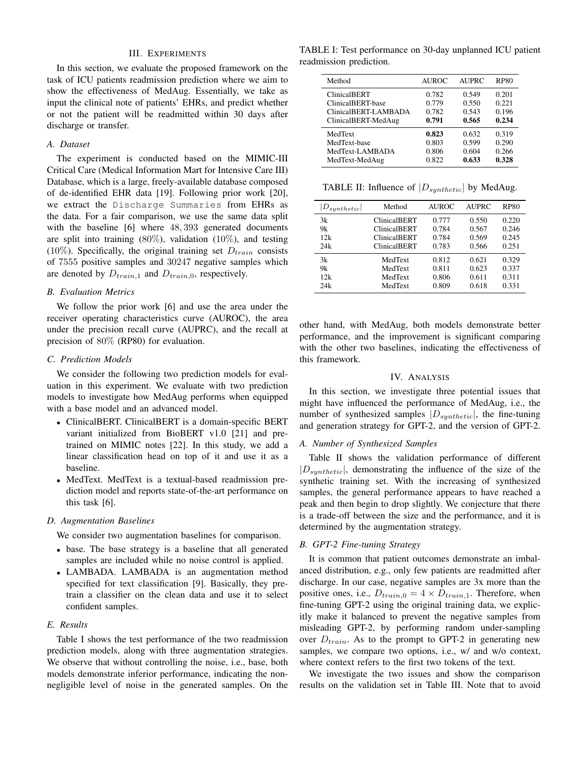# III. EXPERIMENTS

In this section, we evaluate the proposed framework on the task of ICU patients readmission prediction where we aim to show the effectiveness of MedAug. Essentially, we take as input the clinical note of patients' EHRs, and predict whether or not the patient will be readmitted within 30 days after discharge or transfer.

## *A. Dataset*

The experiment is conducted based on the MIMIC-III Critical Care (Medical Information Mart for Intensive Care III) Database, which is a large, freely-available database composed of de-identified EHR data [19]. Following prior work [20], we extract the Discharge Summaries from EHRs as the data. For a fair comparison, we use the same data split with the baseline [6] where 48, 393 generated documents are split into training  $(80\%)$ , validation  $(10\%)$ , and testing (10%). Specifically, the original training set  $D_{train}$  consists of 7555 positive samples and 30247 negative samples which are denoted by  $D_{train,1}$  and  $D_{train,0}$ , respectively.

# *B. Evaluation Metrics*

We follow the prior work [6] and use the area under the receiver operating characteristics curve (AUROC), the area under the precision recall curve (AUPRC), and the recall at precision of 80% (RP80) for evaluation.

## *C. Prediction Models*

We consider the following two prediction models for evaluation in this experiment. We evaluate with two prediction models to investigate how MedAug performs when equipped with a base model and an advanced model.

- ClinicalBERT. ClinicalBERT is a domain-specific BERT variant initialized from BioBERT v1.0 [21] and pretrained on MIMIC notes [22]. In this study, we add a linear classification head on top of it and use it as a baseline.
- MedText. MedText is a textual-based readmission prediction model and reports state-of-the-art performance on this task [6].

#### *D. Augmentation Baselines*

We consider two augmentation baselines for comparison.

- base. The base strategy is a baseline that all generated samples are included while no noise control is applied.
- LAMBADA. LAMBADA is an augmentation method specified for text classification [9]. Basically, they pretrain a classifier on the clean data and use it to select confident samples.

# *E. Results*

Table I shows the test performance of the two readmission prediction models, along with three augmentation strategies. We observe that without controlling the noise, i.e., base, both models demonstrate inferior performance, indicating the nonnegligible level of noise in the generated samples. On the

TABLE I: Test performance on 30-day unplanned ICU patient readmission prediction.

| Method               | <b>AUROC</b> | <b>AUPRC</b> | <b>RP80</b> |
|----------------------|--------------|--------------|-------------|
| <b>ClinicalBERT</b>  | 0.782        | 0.549        | 0.201       |
| ClinicalBERT-base    | 0.779        | 0.550        | 0.221       |
| ClinicalBERT-LAMBADA | 0.782        | 0.543        | 0.196       |
| ClinicalBERT-MedAug  | 0.791        | 0.565        | 0.234       |
| MedText              | 0.823        | 0.632        | 0.319       |
| MedText-base         | 0.803        | 0.599        | 0.290       |
| MedText-LAMBADA      | 0.806        | 0.604        | 0.266       |
| MedText-MedAug       | 0.822        | 0.633        | 0.328       |

TABLE II: Influence of  $|D_{synthetic}|$  by MedAug.

| $D_{synthetic}$ | Method              | <b>AUROC</b> | <b>AUPRC</b> | <b>RP80</b> |
|-----------------|---------------------|--------------|--------------|-------------|
| 3k              | <b>ClinicalBERT</b> | 0.777        | 0.550        | 0.220       |
| 9k              | <b>ClinicalBERT</b> | 0.784        | 0.567        | 0.246       |
| 12k             | <b>ClinicalBERT</b> | 0.784        | 0.569        | 0.245       |
| 24k             | <b>ClinicalBERT</b> | 0.783        | 0.566        | 0.251       |
| 3k              | MedText             | 0.812        | 0.621        | 0.329       |
| 9k              | MedText             | 0.811        | 0.623        | 0.337       |
| 12k             | MedText             | 0.806        | 0.611        | 0.311       |
| 24k             | MedText             | 0.809        | 0.618        | 0.331       |

other hand, with MedAug, both models demonstrate better performance, and the improvement is significant comparing with the other two baselines, indicating the effectiveness of this framework.

# IV. ANALYSIS

In this section, we investigate three potential issues that might have influenced the performance of MedAug, i.e., the number of synthesized samples  $|D_{synthetic}|$ , the fine-tuning and generation strategy for GPT-2, and the version of GPT-2.

# *A. Number of Synthesized Samples*

Table II shows the validation performance of different  $|D_{synthetic}|$ , demonstrating the influence of the size of the synthetic training set. With the increasing of synthesized samples, the general performance appears to have reached a peak and then begin to drop slightly. We conjecture that there is a trade-off between the size and the performance, and it is determined by the augmentation strategy.

#### *B. GPT-2 Fine-tuning Strategy*

It is common that patient outcomes demonstrate an imbalanced distribution, e.g., only few patients are readmitted after discharge. In our case, negative samples are 3x more than the positive ones, i.e.,  $D_{train,0} = 4 \times D_{train,1}$ . Therefore, when fine-tuning GPT-2 using the original training data, we explicitly make it balanced to prevent the negative samples from misleading GPT-2, by performing random under-sampling over  $D_{train}$ . As to the prompt to GPT-2 in generating new samples, we compare two options, i.e., w/ and w/o context, where context refers to the first two tokens of the text.

We investigate the two issues and show the comparison results on the validation set in Table III. Note that to avoid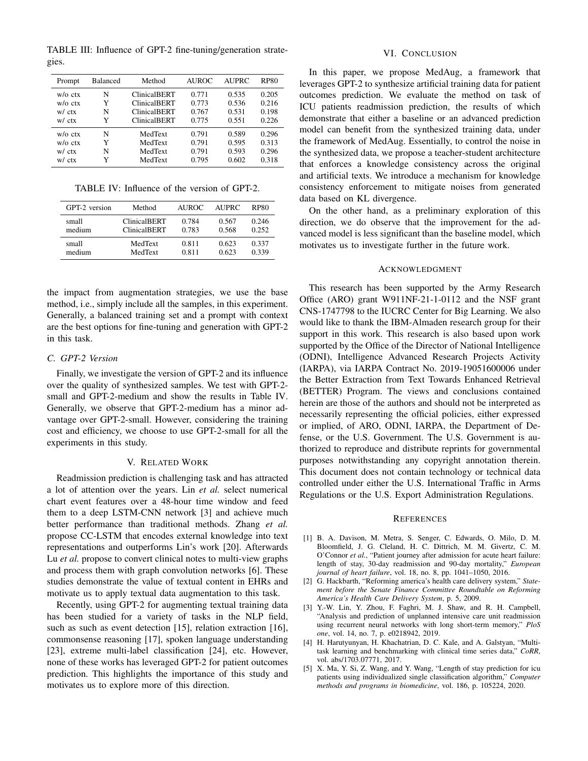TABLE III: Influence of GPT-2 fine-tuning/generation strategies.

| Prompt             | Balanced | Method              | <b>AUROC</b> | <b>AUPRC</b> | <b>RP80</b> |
|--------------------|----------|---------------------|--------------|--------------|-------------|
| $w/\alpha$ ctx     | N        | <b>ClinicalBERT</b> | 0.771        | 0.535        | 0.205       |
| $w/\alpha$ ctx     | Y        | <b>ClinicalBERT</b> | 0.773        | 0.536        | 0.216       |
| w/ctx              | N        | <b>ClinicalBERT</b> | 0.767        | 0.531        | 0.198       |
| w/ctx              | Y        | <b>ClinicalBERT</b> | 0.775        | 0.551        | 0.226       |
| $w/\alpha$ ctx     | N        | MedText             | 0.791        | 0.589        | 0.296       |
| $w$ / $\alpha$ ctx | Y        | MedText             | 0.791        | 0.595        | 0.313       |
| w/ctx              | N        | MedText             | 0.791        | 0.593        | 0.296       |
| w/ctx              | Y        | MedText             | 0.795        | 0.602        | 0.318       |

TABLE IV: Influence of the version of GPT-2.

| GPT-2 version | Method              | AUROC. | <b>AUPRC</b> | <b>RP80</b> |
|---------------|---------------------|--------|--------------|-------------|
| small         | <b>ClinicalBERT</b> | 0.784  | 0.567        | 0.246       |
| medium        | <b>ClinicalBERT</b> | 0.783  | 0.568        | 0.252       |
| small         | MedText             | 0.811  | 0.623        | 0.337       |
| medium        | MedText             | 0.811  | 0.623        | 0.339       |

the impact from augmentation strategies, we use the base method, i.e., simply include all the samples, in this experiment. Generally, a balanced training set and a prompt with context are the best options for fine-tuning and generation with GPT-2 in this task.

# *C. GPT-2 Version*

Finally, we investigate the version of GPT-2 and its influence over the quality of synthesized samples. We test with GPT-2 small and GPT-2-medium and show the results in Table IV. Generally, we observe that GPT-2-medium has a minor advantage over GPT-2-small. However, considering the training cost and efficiency, we choose to use GPT-2-small for all the experiments in this study.

### V. RELATED WORK

Readmission prediction is challenging task and has attracted a lot of attention over the years. Lin *et al.* select numerical chart event features over a 48-hour time window and feed them to a deep LSTM-CNN network [3] and achieve much better performance than traditional methods. Zhang *et al.* propose CC-LSTM that encodes external knowledge into text representations and outperforms Lin's work [20]. Afterwards Lu *et al.* propose to convert clinical notes to multi-view graphs and process them with graph convolution networks [6]. These studies demonstrate the value of textual content in EHRs and motivate us to apply textual data augmentation to this task.

Recently, using GPT-2 for augmenting textual training data has been studied for a variety of tasks in the NLP field, such as such as event detection [15], relation extraction [16], commonsense reasoning [17], spoken language understanding [23], extreme multi-label classification [24], etc. However, none of these works has leveraged GPT-2 for patient outcomes prediction. This highlights the importance of this study and motivates us to explore more of this direction.

# VI. CONCLUSION

In this paper, we propose MedAug, a framework that leverages GPT-2 to synthesize artificial training data for patient outcomes prediction. We evaluate the method on task of ICU patients readmission prediction, the results of which demonstrate that either a baseline or an advanced prediction model can benefit from the synthesized training data, under the framework of MedAug. Essentially, to control the noise in the synthesized data, we propose a teacher-student architecture that enforces a knowledge consistency across the original and artificial texts. We introduce a mechanism for knowledge consistency enforcement to mitigate noises from generated data based on KL divergence.

On the other hand, as a preliminary exploration of this direction, we do observe that the improvement for the advanced model is less significant than the baseline model, which motivates us to investigate further in the future work.

# ACKNOWLEDGMENT

This research has been supported by the Army Research Office (ARO) grant W911NF-21-1-0112 and the NSF grant CNS-1747798 to the IUCRC Center for Big Learning. We also would like to thank the IBM-Almaden research group for their support in this work. This research is also based upon work supported by the Office of the Director of National Intelligence (ODNI), Intelligence Advanced Research Projects Activity (IARPA), via IARPA Contract No. 2019-19051600006 under the Better Extraction from Text Towards Enhanced Retrieval (BETTER) Program. The views and conclusions contained herein are those of the authors and should not be interpreted as necessarily representing the official policies, either expressed or implied, of ARO, ODNI, IARPA, the Department of Defense, or the U.S. Government. The U.S. Government is authorized to reproduce and distribute reprints for governmental purposes notwithstanding any copyright annotation therein. This document does not contain technology or technical data controlled under either the U.S. International Traffic in Arms Regulations or the U.S. Export Administration Regulations.

#### **REFERENCES**

- [1] B. A. Davison, M. Metra, S. Senger, C. Edwards, O. Milo, D. M. Bloomfield, J. G. Cleland, H. C. Dittrich, M. M. Givertz, C. M. O'Connor *et al.*, "Patient journey after admission for acute heart failure: length of stay, 30-day readmission and 90-day mortality," *European journal of heart failure*, vol. 18, no. 8, pp. 1041–1050, 2016.
- [2] G. Hackbarth, "Reforming america's health care delivery system," *Statement before the Senate Finance Committee Roundtable on Reforming America's Health Care Delivery System*, p. 5, 2009.
- [3] Y.-W. Lin, Y. Zhou, F. Faghri, M. J. Shaw, and R. H. Campbell, "Analysis and prediction of unplanned intensive care unit readmission using recurrent neural networks with long short-term memory," *PloS one*, vol. 14, no. 7, p. e0218942, 2019.
- [4] H. Harutyunyan, H. Khachatrian, D. C. Kale, and A. Galstyan, "Multitask learning and benchmarking with clinical time series data," *CoRR*, vol. abs/1703.07771, 2017.
- [5] X. Ma, Y. Si, Z. Wang, and Y. Wang, "Length of stay prediction for icu patients using individualized single classification algorithm," *Computer methods and programs in biomedicine*, vol. 186, p. 105224, 2020.